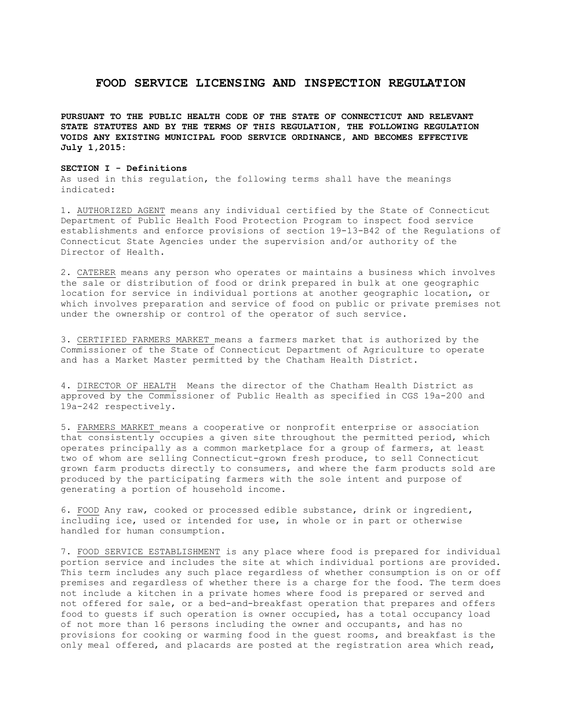# **FOOD SERVICE LICENSING AND INSPECTION REGULATION**

**PURSUANT TO THE PUBLIC HEALTH CODE OF THE STATE OF CONNECTICUT AND RELEVANT STATE STATUTES AND BY THE TERMS OF THIS REGULATION, THE FOLLOWING REGULATION VOIDS ANY EXISTING MUNICIPAL FOOD SERVICE ORDINANCE, AND BECOMES EFFECTIVE July 1,2015:**

# **SECTION I - Definitions**

As used in this regulation, the following terms shall have the meanings indicated:

1. AUTHORIZED AGENT means any individual certified by the State of Connecticut Department of Public Health Food Protection Program to inspect food service establishments and enforce provisions of section 19-13-B42 of the Regulations of Connecticut State Agencies under the supervision and/or authority of the Director of Health.

2. CATERER means any person who operates or maintains a business which involves the sale or distribution of food or drink prepared in bulk at one geographic location for service in individual portions at another geographic location, or which involves preparation and service of food on public or private premises not under the ownership or control of the operator of such service.

3. CERTIFIED FARMERS MARKET means a farmers market that is authorized by the Commissioner of the State of Connecticut Department of Agriculture to operate and has a Market Master permitted by the Chatham Health District.

4. DIRECTOR OF HEALTH Means the director of the Chatham Health District as approved by the Commissioner of Public Health as specified in CGS 19a-200 and 19a-242 respectively.

5. FARMERS MARKET means a cooperative or nonprofit enterprise or association that consistently occupies a given site throughout the permitted period, which operates principally as a common marketplace for a group of farmers, at least two of whom are selling Connecticut-grown fresh produce, to sell Connecticut grown farm products directly to consumers, and where the farm products sold are produced by the participating farmers with the sole intent and purpose of generating a portion of household income.

6. FOOD Any raw, cooked or processed edible substance, drink or ingredient, including ice, used or intended for use, in whole or in part or otherwise handled for human consumption.

7. FOOD SERVICE ESTABLISHMENT is any place where food is prepared for individual portion service and includes the site at which individual portions are provided. This term includes any such place regardless of whether consumption is on or off premises and regardless of whether there is a charge for the food. The term does not include a kitchen in a private homes where food is prepared or served and not offered for sale, or a bed-and-breakfast operation that prepares and offers food to guests if such operation is owner occupied, has a total occupancy load of not more than 16 persons including the owner and occupants, and has no provisions for cooking or warming food in the guest rooms, and breakfast is the only meal offered, and placards are posted at the registration area which read,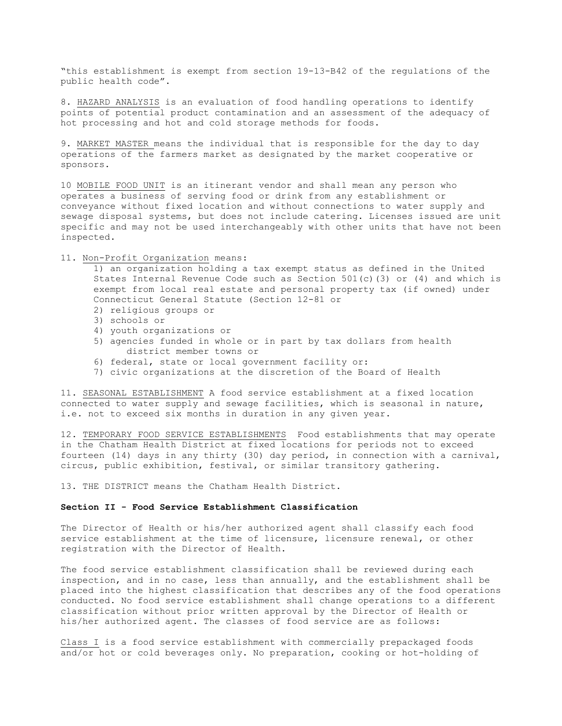"this establishment is exempt from section 19-13-B42 of the regulations of the public health code".

8. HAZARD ANALYSIS is an evaluation of food handling operations to identify points of potential product contamination and an assessment of the adequacy of hot processing and hot and cold storage methods for foods.

9. MARKET MASTER means the individual that is responsible for the day to day operations of the farmers market as designated by the market cooperative or sponsors.

10 MOBILE FOOD UNIT is an itinerant vendor and shall mean any person who operates a business of serving food or drink from any establishment or conveyance without fixed location and without connections to water supply and sewage disposal systems, but does not include catering. Licenses issued are unit specific and may not be used interchangeably with other units that have not been inspected.

11. Non-Profit Organization means:

1) an organization holding a tax exempt status as defined in the United States Internal Revenue Code such as Section  $501(c)(3)$  or  $(4)$  and which is exempt from local real estate and personal property tax (if owned) under Connecticut General Statute (Section 12-81 or

- 2) religious groups or
- 3) schools or
- 4) youth organizations or
- 5) agencies funded in whole or in part by tax dollars from health district member towns or
- 6) federal, state or local government facility or:
- 7) civic organizations at the discretion of the Board of Health

11. SEASONAL ESTABLISHMENT A food service establishment at a fixed location connected to water supply and sewage facilities, which is seasonal in nature, i.e. not to exceed six months in duration in any given year.

12. TEMPORARY FOOD SERVICE ESTABLISHMENTS Food establishments that may operate in the Chatham Health District at fixed locations for periods not to exceed fourteen (14) days in any thirty (30) day period, in connection with a carnival, circus, public exhibition, festival, or similar transitory gathering.

13. THE DISTRICT means the Chatham Health District.

## **Section II - Food Service Establishment Classification**

The Director of Health or his/her authorized agent shall classify each food service establishment at the time of licensure, licensure renewal, or other registration with the Director of Health.

The food service establishment classification shall be reviewed during each inspection, and in no case, less than annually, and the establishment shall be placed into the highest classification that describes any of the food operations conducted. No food service establishment shall change operations to a different classification without prior written approval by the Director of Health or his/her authorized agent. The classes of food service are as follows:

Class I is a food service establishment with commercially prepackaged foods and/or hot or cold beverages only. No preparation, cooking or hot-holding of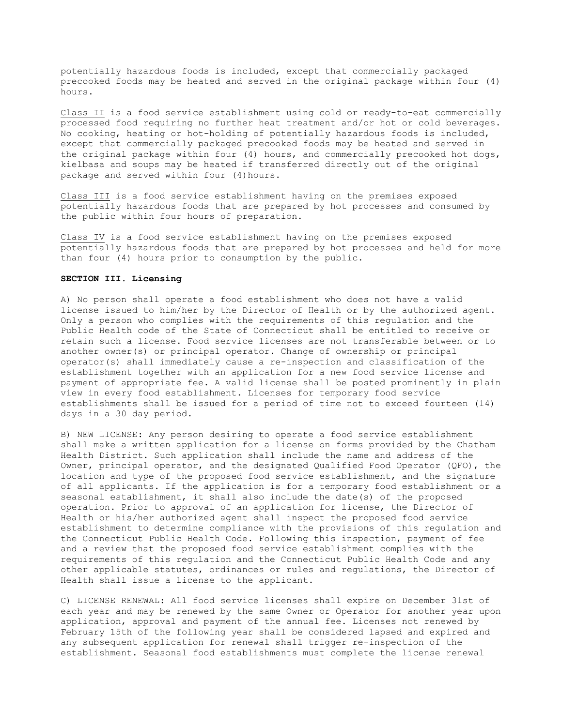potentially hazardous foods is included, except that commercially packaged precooked foods may be heated and served in the original package within four (4) hours.

Class II is a food service establishment using cold or ready-to-eat commercially processed food requiring no further heat treatment and/or hot or cold beverages. No cooking, heating or hot-holding of potentially hazardous foods is included, except that commercially packaged precooked foods may be heated and served in the original package within four (4) hours, and commercially precooked hot dogs, kielbasa and soups may be heated if transferred directly out of the original package and served within four (4)hours.

Class III is a food service establishment having on the premises exposed potentially hazardous foods that are prepared by hot processes and consumed by the public within four hours of preparation.

Class IV is a food service establishment having on the premises exposed potentially hazardous foods that are prepared by hot processes and held for more than four (4) hours prior to consumption by the public.

## **SECTION III. Licensing**

A) No person shall operate a food establishment who does not have a valid license issued to him/her by the Director of Health or by the authorized agent. Only a person who complies with the requirements of this regulation and the Public Health code of the State of Connecticut shall be entitled to receive or retain such a license. Food service licenses are not transferable between or to another owner(s) or principal operator. Change of ownership or principal operator(s) shall immediately cause a re-inspection and classification of the establishment together with an application for a new food service license and payment of appropriate fee. A valid license shall be posted prominently in plain view in every food establishment. Licenses for temporary food service establishments shall be issued for a period of time not to exceed fourteen (14) days in a 30 day period.

B) NEW LICENSE: Any person desiring to operate a food service establishment shall make a written application for a license on forms provided by the Chatham Health District. Such application shall include the name and address of the Owner, principal operator, and the designated Qualified Food Operator (QFO), the location and type of the proposed food service establishment, and the signature of all applicants. If the application is for a temporary food establishment or a seasonal establishment, it shall also include the date(s) of the proposed operation. Prior to approval of an application for license, the Director of Health or his/her authorized agent shall inspect the proposed food service establishment to determine compliance with the provisions of this regulation and the Connecticut Public Health Code. Following this inspection, payment of fee and a review that the proposed food service establishment complies with the requirements of this regulation and the Connecticut Public Health Code and any other applicable statutes, ordinances or rules and regulations, the Director of Health shall issue a license to the applicant.

C) LICENSE RENEWAL: All food service licenses shall expire on December 31st of each year and may be renewed by the same Owner or Operator for another year upon application, approval and payment of the annual fee. Licenses not renewed by February 15th of the following year shall be considered lapsed and expired and any subsequent application for renewal shall trigger re-inspection of the establishment. Seasonal food establishments must complete the license renewal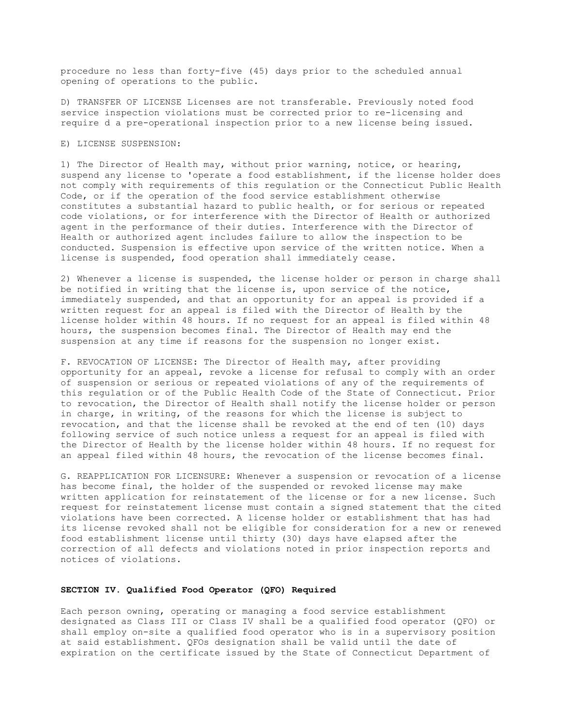procedure no less than forty-five (45) days prior to the scheduled annual opening of operations to the public.

D) TRANSFER OF LICENSE Licenses are not transferable. Previously noted food service inspection violations must be corrected prior to re-licensing and require d a pre-operational inspection prior to a new license being issued.

## E) LICENSE SUSPENSION:

1) The Director of Health may, without prior warning, notice, or hearing, suspend any license to 'operate a food establishment, if the license holder does not comply with requirements of this regulation or the Connecticut Public Health Code, or if the operation of the food service establishment otherwise constitutes a substantial hazard to public health, or for serious or repeated code violations, or for interference with the Director of Health or authorized agent in the performance of their duties. Interference with the Director of Health or authorized agent includes failure to allow the inspection to be conducted. Suspension is effective upon service of the written notice. When a license is suspended, food operation shall immediately cease.

2) Whenever a license is suspended, the license holder or person in charge shall be notified in writing that the license is, upon service of the notice, immediately suspended, and that an opportunity for an appeal is provided if a written request for an appeal is filed with the Director of Health by the license holder within 48 hours. If no request for an appeal is filed within 48 hours, the suspension becomes final. The Director of Health may end the suspension at any time if reasons for the suspension no longer exist.

F. REVOCATION OF LICENSE: The Director of Health may, after providing opportunity for an appeal, revoke a license for refusal to comply with an order of suspension or serious or repeated violations of any of the requirements of this regulation or of the Public Health Code of the State of Connecticut. Prior to revocation, the Director of Health shall notify the license holder or person in charge, in writing, of the reasons for which the license is subject to revocation, and that the license shall be revoked at the end of ten (10) days following service of such notice unless a request for an appeal is filed with the Director of Health by the license holder within 48 hours. If no request for an appeal filed within 48 hours, the revocation of the license becomes final.

G. REAPPLICATION FOR LICENSURE: Whenever a suspension or revocation of a license has become final, the holder of the suspended or revoked license may make written application for reinstatement of the license or for a new license. Such request for reinstatement license must contain a signed statement that the cited violations have been corrected. A license holder or establishment that has had its license revoked shall not be eligible for consideration for a new or renewed food establishment license until thirty (30) days have elapsed after the correction of all defects and violations noted in prior inspection reports and notices of violations.

## **SECTION IV. Qualified Food Operator (QFO) Required**

Each person owning, operating or managing a food service establishment designated as Class III or Class IV shall be a qualified food operator (QFO) or shall employ on-site a qualified food operator who is in a supervisory position at said establishment. QFOs designation shall be valid until the date of expiration on the certificate issued by the State of Connecticut Department of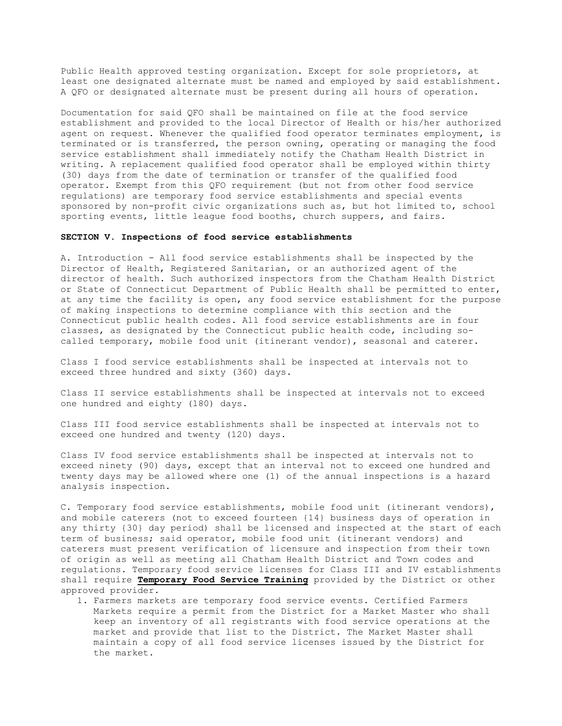Public Health approved testing organization. Except for sole proprietors, at least one designated alternate must be named and employed by said establishment. A QFO or designated alternate must be present during all hours of operation.

Documentation for said QFO shall be maintained on file at the food service establishment and provided to the local Director of Health or his/her authorized agent on request. Whenever the qualified food operator terminates employment, is terminated or is transferred, the person owning, operating or managing the food service establishment shall immediately notify the Chatham Health District in writing. A replacement qualified food operator shall be employed within thirty (30) days from the date of termination or transfer of the qualified food operator. Exempt from this QFO requirement (but not from other food service regulations) are temporary food service establishments and special events sponsored by non-profit civic organizations such as, but hot limited to, school sporting events, little league food booths, church suppers, and fairs.

#### **SECTION V. Inspections of food service establishments**

A. Introduction - All food service establishments shall be inspected by the Director of Health, Registered Sanitarian, or an authorized agent of the director of health. Such authorized inspectors from the Chatham Health District or State of Connecticut Department of Public Health shall be permitted to enter, at any time the facility is open, any food service establishment for the purpose of making inspections to determine compliance with this section and the Connecticut public health codes. All food service establishments are in four classes, as designated by the Connecticut public health code, including socalled temporary, mobile food unit (itinerant vendor), seasonal and caterer.

Class I food service establishments shall be inspected at intervals not to exceed three hundred and sixty (360) days.

Class II service establishments shall be inspected at intervals not to exceed one hundred and eighty (180) days.

Class III food service establishments shall be inspected at intervals not to exceed one hundred and twenty (120) days.

Class IV food service establishments shall be inspected at intervals not to exceed ninety (90) days, except that an interval not to exceed one hundred and twenty days may be allowed where one (1) of the annual inspections is a hazard analysis inspection.

C. Temporary food service establishments, mobile food unit (itinerant vendors), and mobile caterers (not to exceed fourteen {14} business days of operation in any thirty {30} day period) shall be licensed and inspected at the start of each term of business; said operator, mobile food unit (itinerant vendors) and caterers must present verification of licensure and inspection from their town of origin as well as meeting all Chatham Health District and Town codes and regulations. Temporary food service licenses for Class III and IV establishments shall require **Temporary Food Service Training** provided by the District or other approved provider.

1. Farmers markets are temporary food service events. Certified Farmers Markets require a permit from the District for a Market Master who shall keep an inventory of all registrants with food service operations at the market and provide that list to the District. The Market Master shall maintain a copy of all food service licenses issued by the District for the market.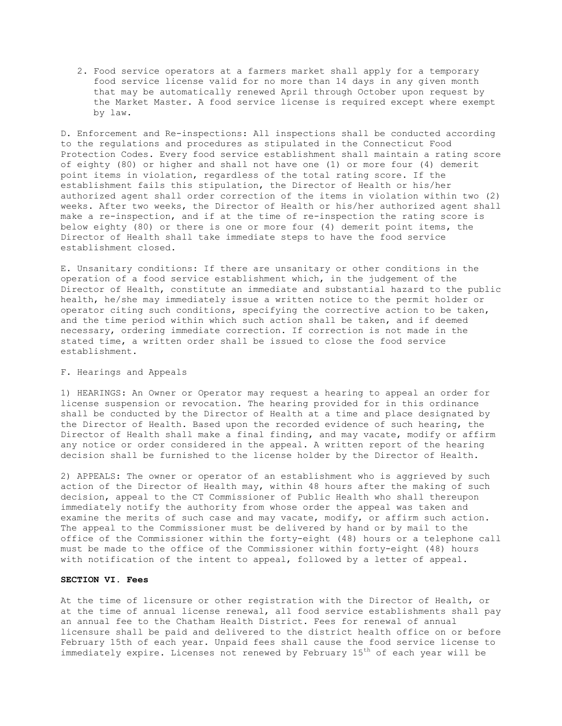2. Food service operators at a farmers market shall apply for a temporary food service license valid for no more than 14 days in any given month that may be automatically renewed April through October upon request by the Market Master. A food service license is required except where exempt by law.

D. Enforcement and Re-inspections: All inspections shall be conducted according to the regulations and procedures as stipulated in the Connecticut Food Protection Codes. Every food service establishment shall maintain a rating score of eighty (80) or higher and shall not have one (1) or more four (4) demerit point items in violation, regardless of the total rating score. If the establishment fails this stipulation, the Director of Health or his/her authorized agent shall order correction of the items in violation within two (2) weeks. After two weeks, the Director of Health or his/her authorized agent shall make a re-inspection, and if at the time of re-inspection the rating score is below eighty (80) or there is one or more four (4) demerit point items, the Director of Health shall take immediate steps to have the food service establishment closed.

E. Unsanitary conditions: If there are unsanitary or other conditions in the operation of a food service establishment which, in the judgement of the Director of Health, constitute an immediate and substantial hazard to the public health, he/she may immediately issue a written notice to the permit holder or operator citing such conditions, specifying the corrective action to be taken, and the time period within which such action shall be taken, and if deemed necessary, ordering immediate correction. If correction is not made in the stated time, a written order shall be issued to close the food service establishment.

## F. Hearings and Appeals

1) HEARINGS: An Owner or Operator may request a hearing to appeal an order for license suspension or revocation. The hearing provided for in this ordinance shall be conducted by the Director of Health at a time and place designated by the Director of Health. Based upon the recorded evidence of such hearing, the Director of Health shall make a final finding, and may vacate, modify or affirm any notice or order considered in the appeal. A written report of the hearing decision shall be furnished to the license holder by the Director of Health.

2) APPEALS: The owner or operator of an establishment who is aggrieved by such action of the Director of Health may, within 48 hours after the making of such decision, appeal to the CT Commissioner of Public Health who shall thereupon immediately notify the authority from whose order the appeal was taken and examine the merits of such case and may vacate, modify, or affirm such action. The appeal to the Commissioner must be delivered by hand or by mail to the office of the Commissioner within the forty-eight (48) hours or a telephone call must be made to the office of the Commissioner within forty-eight (48) hours with notification of the intent to appeal, followed by a letter of appeal.

# **SECTION VI. Fees**

At the time of licensure or other registration with the Director of Health, or at the time of annual license renewal, all food service establishments shall pay an annual fee to the Chatham Health District. Fees for renewal of annual licensure shall be paid and delivered to the district health office on or before February 15th of each year. Unpaid fees shall cause the food service license to immediately expire. Licenses not renewed by February 15<sup>th</sup> of each year will be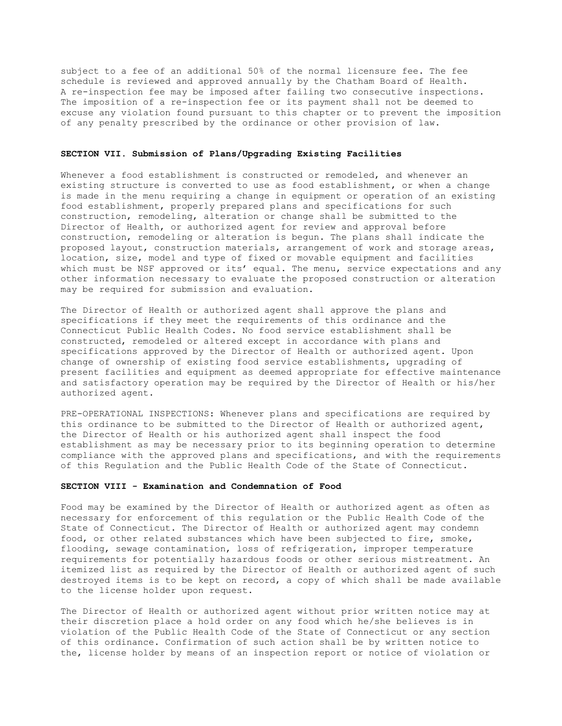subject to a fee of an additional 50% of the normal licensure fee. The fee schedule is reviewed and approved annually by the Chatham Board of Health. A re-inspection fee may be imposed after failing two consecutive inspections. The imposition of a re-inspection fee or its payment shall not be deemed to excuse any violation found pursuant to this chapter or to prevent the imposition of any penalty prescribed by the ordinance or other provision of law.

## **SECTION VII. Submission of Plans/Upgrading Existing Facilities**

Whenever a food establishment is constructed or remodeled, and whenever an existing structure is converted to use as food establishment, or when a change is made in the menu requiring a change in equipment or operation of an existing food establishment, properly prepared plans and specifications for such construction, remodeling, alteration or change shall be submitted to the Director of Health, or authorized agent for review and approval before construction, remodeling or alteration is begun. The plans shall indicate the proposed layout, construction materials, arrangement of work and storage areas, location, size, model and type of fixed or movable equipment and facilities which must be NSF approved or its' equal. The menu, service expectations and any other information necessary to evaluate the proposed construction or alteration may be required for submission and evaluation.

The Director of Health or authorized agent shall approve the plans and specifications if they meet the requirements of this ordinance and the Connecticut Public Health Codes. No food service establishment shall be constructed, remodeled or altered except in accordance with plans and specifications approved by the Director of Health or authorized agent. Upon change of ownership of existing food service establishments, upgrading of present facilities and equipment as deemed appropriate for effective maintenance and satisfactory operation may be required by the Director of Health or his/her authorized agent.

PRE-OPERATIONAL INSPECTIONS: Whenever plans and specifications are required by this ordinance to be submitted to the Director of Health or authorized agent, the Director of Health or his authorized agent shall inspect the food establishment as may be necessary prior to its beginning operation to determine compliance with the approved plans and specifications, and with the requirements of this Regulation and the Public Health Code of the State of Connecticut.

#### **SECTION VIII - Examination and Condemnation of Food**

Food may be examined by the Director of Health or authorized agent as often as necessary for enforcement of this regulation or the Public Health Code of the State of Connecticut. The Director of Health or authorized agent may condemn food, or other related substances which have been subjected to fire, smoke, flooding, sewage contamination, loss of refrigeration, improper temperature requirements for potentially hazardous foods or other serious mistreatment. An itemized list as required by the Director of Health or authorized agent of such destroyed items is to be kept on record, a copy of which shall be made available to the license holder upon request.

The Director of Health or authorized agent without prior written notice may at their discretion place a hold order on any food which he/she believes is in violation of the Public Health Code of the State of Connecticut or any section of this ordinance. Confirmation of such action shall be by written notice to the, license holder by means of an inspection report or notice of violation or